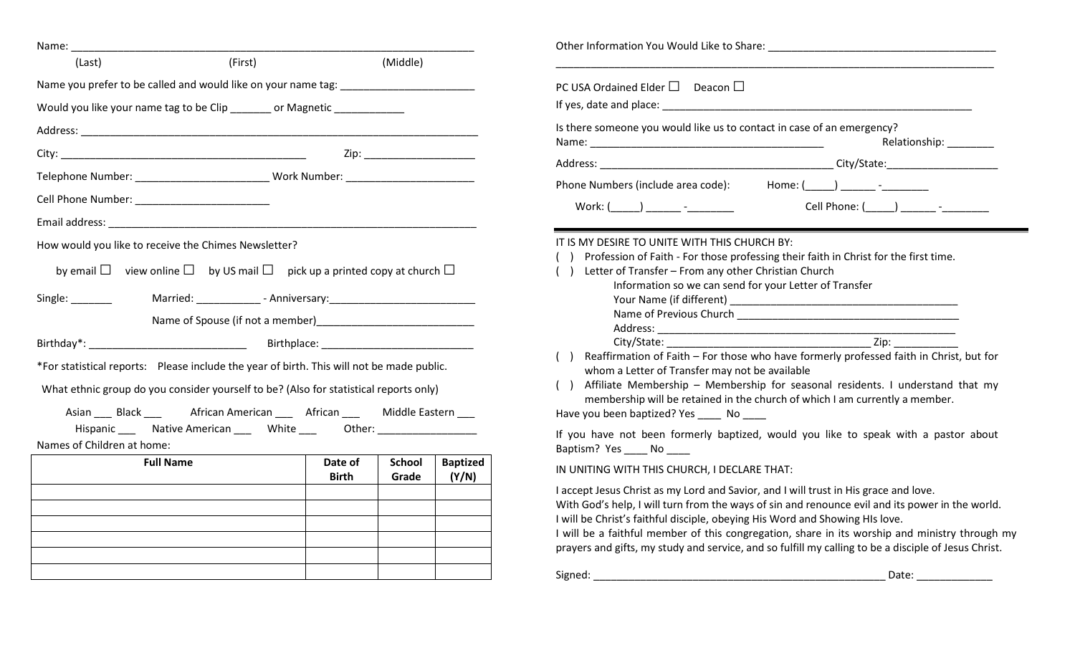| Name:                                                                                     |                                                                                                                                                                                                                                                                                                                                                                                                                                                                                                                                                                                                                                                                                                                                                                                                                                                                                                                                                                                                                                                                                                                                                                                                                                                                                                                                                                                                                                                                                                                                                                                                                                                                                                                                                                                                                                                                                                                                                                                                                                                                                                                                                                                                                                                                                        |  |          |  |                                                                                                                             |
|-------------------------------------------------------------------------------------------|----------------------------------------------------------------------------------------------------------------------------------------------------------------------------------------------------------------------------------------------------------------------------------------------------------------------------------------------------------------------------------------------------------------------------------------------------------------------------------------------------------------------------------------------------------------------------------------------------------------------------------------------------------------------------------------------------------------------------------------------------------------------------------------------------------------------------------------------------------------------------------------------------------------------------------------------------------------------------------------------------------------------------------------------------------------------------------------------------------------------------------------------------------------------------------------------------------------------------------------------------------------------------------------------------------------------------------------------------------------------------------------------------------------------------------------------------------------------------------------------------------------------------------------------------------------------------------------------------------------------------------------------------------------------------------------------------------------------------------------------------------------------------------------------------------------------------------------------------------------------------------------------------------------------------------------------------------------------------------------------------------------------------------------------------------------------------------------------------------------------------------------------------------------------------------------------------------------------------------------------------------------------------------------|--|----------|--|-----------------------------------------------------------------------------------------------------------------------------|
| (Last)                                                                                    | (First)                                                                                                                                                                                                                                                                                                                                                                                                                                                                                                                                                                                                                                                                                                                                                                                                                                                                                                                                                                                                                                                                                                                                                                                                                                                                                                                                                                                                                                                                                                                                                                                                                                                                                                                                                                                                                                                                                                                                                                                                                                                                                                                                                                                                                                                                                |  | (Middle) |  |                                                                                                                             |
| Name you prefer to be called and would like on your name tag: ___________________         |                                                                                                                                                                                                                                                                                                                                                                                                                                                                                                                                                                                                                                                                                                                                                                                                                                                                                                                                                                                                                                                                                                                                                                                                                                                                                                                                                                                                                                                                                                                                                                                                                                                                                                                                                                                                                                                                                                                                                                                                                                                                                                                                                                                                                                                                                        |  |          |  | PC USA Ordained Elder $\square$ Deacon $\square$                                                                            |
| Would you like your name tag to be Clip _______ or Magnetic ___________                   |                                                                                                                                                                                                                                                                                                                                                                                                                                                                                                                                                                                                                                                                                                                                                                                                                                                                                                                                                                                                                                                                                                                                                                                                                                                                                                                                                                                                                                                                                                                                                                                                                                                                                                                                                                                                                                                                                                                                                                                                                                                                                                                                                                                                                                                                                        |  |          |  |                                                                                                                             |
|                                                                                           |                                                                                                                                                                                                                                                                                                                                                                                                                                                                                                                                                                                                                                                                                                                                                                                                                                                                                                                                                                                                                                                                                                                                                                                                                                                                                                                                                                                                                                                                                                                                                                                                                                                                                                                                                                                                                                                                                                                                                                                                                                                                                                                                                                                                                                                                                        |  |          |  | Is there someone you would like us to contact in case of an emergency?<br>Relationship: \\square\\sqrt{\math{\smat{\smat}}} |
|                                                                                           |                                                                                                                                                                                                                                                                                                                                                                                                                                                                                                                                                                                                                                                                                                                                                                                                                                                                                                                                                                                                                                                                                                                                                                                                                                                                                                                                                                                                                                                                                                                                                                                                                                                                                                                                                                                                                                                                                                                                                                                                                                                                                                                                                                                                                                                                                        |  |          |  |                                                                                                                             |
|                                                                                           |                                                                                                                                                                                                                                                                                                                                                                                                                                                                                                                                                                                                                                                                                                                                                                                                                                                                                                                                                                                                                                                                                                                                                                                                                                                                                                                                                                                                                                                                                                                                                                                                                                                                                                                                                                                                                                                                                                                                                                                                                                                                                                                                                                                                                                                                                        |  |          |  | Home: ( )                                                                                                                   |
|                                                                                           |                                                                                                                                                                                                                                                                                                                                                                                                                                                                                                                                                                                                                                                                                                                                                                                                                                                                                                                                                                                                                                                                                                                                                                                                                                                                                                                                                                                                                                                                                                                                                                                                                                                                                                                                                                                                                                                                                                                                                                                                                                                                                                                                                                                                                                                                                        |  |          |  |                                                                                                                             |
|                                                                                           |                                                                                                                                                                                                                                                                                                                                                                                                                                                                                                                                                                                                                                                                                                                                                                                                                                                                                                                                                                                                                                                                                                                                                                                                                                                                                                                                                                                                                                                                                                                                                                                                                                                                                                                                                                                                                                                                                                                                                                                                                                                                                                                                                                                                                                                                                        |  |          |  |                                                                                                                             |
|                                                                                           | Telephone Number: _________________________________ Work Number: ________________<br>Phone Numbers (include area code):<br>Cell Phone Number: National Phone Number:<br>Cell Phone: ( ) - The Electronic Security Association of the Contract of The Contract of The Contract of The Co<br>$Work: ($ $)$ $-$<br>IT IS MY DESIRE TO UNITE WITH THIS CHURCH BY:<br>How would you like to receive the Chimes Newsletter?<br>Profession of Faith - For those professing their faith in Christ for the first time.<br>by email $\Box$ view online $\Box$ by US mail $\Box$ pick up a printed copy at church $\Box$<br>Letter of Transfer - From any other Christian Church<br>(<br>Information so we can send for your Letter of Transfer<br>Zip: will be a set of the set of the set of the set of the set of the set of the set of the set of the set of the set of the set of the set of the set of the set of the set of the set of the set of the set of the set of th<br>City/State: City/State:<br>Reaffirmation of Faith - For those who have formerly professed faith in Christ, but for<br>whom a Letter of Transfer may not be available<br>() Affiliate Membership - Membership for seasonal residents. I understand that my<br>What ethnic group do you consider yourself to be? (Also for statistical reports only)<br>membership will be retained in the church of which I am currently a member.<br>Asian ____ Black ____ African American ____ African ____ Middle Eastern ___<br>Have you been baptized? Yes _______ No ______<br>Hispanic ______ Native American _______ White __________________________________<br>If you have not been formerly baptized, would you like to speak with a pastor about<br>Baptism? Yes _____ No ____<br>Date of<br><b>School</b><br><b>Baptized</b><br><b>Full Name</b><br>IN UNITING WITH THIS CHURCH, I DECLARE THAT:<br>(Y/N)<br><b>Birth</b><br>Grade<br>I accept Jesus Christ as my Lord and Savior, and I will trust in His grace and love.<br>With God's help, I will turn from the ways of sin and renounce evil and its power in the world.<br>I will be Christ's faithful disciple, obeying His Word and Showing HIs love.<br>I will be a faithful member of this congregation, share in its worship and ministry through my |  |          |  |                                                                                                                             |
|                                                                                           |                                                                                                                                                                                                                                                                                                                                                                                                                                                                                                                                                                                                                                                                                                                                                                                                                                                                                                                                                                                                                                                                                                                                                                                                                                                                                                                                                                                                                                                                                                                                                                                                                                                                                                                                                                                                                                                                                                                                                                                                                                                                                                                                                                                                                                                                                        |  |          |  |                                                                                                                             |
|                                                                                           |                                                                                                                                                                                                                                                                                                                                                                                                                                                                                                                                                                                                                                                                                                                                                                                                                                                                                                                                                                                                                                                                                                                                                                                                                                                                                                                                                                                                                                                                                                                                                                                                                                                                                                                                                                                                                                                                                                                                                                                                                                                                                                                                                                                                                                                                                        |  |          |  |                                                                                                                             |
| Single: ________                                                                          |                                                                                                                                                                                                                                                                                                                                                                                                                                                                                                                                                                                                                                                                                                                                                                                                                                                                                                                                                                                                                                                                                                                                                                                                                                                                                                                                                                                                                                                                                                                                                                                                                                                                                                                                                                                                                                                                                                                                                                                                                                                                                                                                                                                                                                                                                        |  |          |  |                                                                                                                             |
|                                                                                           |                                                                                                                                                                                                                                                                                                                                                                                                                                                                                                                                                                                                                                                                                                                                                                                                                                                                                                                                                                                                                                                                                                                                                                                                                                                                                                                                                                                                                                                                                                                                                                                                                                                                                                                                                                                                                                                                                                                                                                                                                                                                                                                                                                                                                                                                                        |  |          |  |                                                                                                                             |
|                                                                                           |                                                                                                                                                                                                                                                                                                                                                                                                                                                                                                                                                                                                                                                                                                                                                                                                                                                                                                                                                                                                                                                                                                                                                                                                                                                                                                                                                                                                                                                                                                                                                                                                                                                                                                                                                                                                                                                                                                                                                                                                                                                                                                                                                                                                                                                                                        |  |          |  |                                                                                                                             |
|                                                                                           |                                                                                                                                                                                                                                                                                                                                                                                                                                                                                                                                                                                                                                                                                                                                                                                                                                                                                                                                                                                                                                                                                                                                                                                                                                                                                                                                                                                                                                                                                                                                                                                                                                                                                                                                                                                                                                                                                                                                                                                                                                                                                                                                                                                                                                                                                        |  |          |  |                                                                                                                             |
| *For statistical reports: Please include the year of birth. This will not be made public. |                                                                                                                                                                                                                                                                                                                                                                                                                                                                                                                                                                                                                                                                                                                                                                                                                                                                                                                                                                                                                                                                                                                                                                                                                                                                                                                                                                                                                                                                                                                                                                                                                                                                                                                                                                                                                                                                                                                                                                                                                                                                                                                                                                                                                                                                                        |  |          |  |                                                                                                                             |
|                                                                                           |                                                                                                                                                                                                                                                                                                                                                                                                                                                                                                                                                                                                                                                                                                                                                                                                                                                                                                                                                                                                                                                                                                                                                                                                                                                                                                                                                                                                                                                                                                                                                                                                                                                                                                                                                                                                                                                                                                                                                                                                                                                                                                                                                                                                                                                                                        |  |          |  |                                                                                                                             |
|                                                                                           |                                                                                                                                                                                                                                                                                                                                                                                                                                                                                                                                                                                                                                                                                                                                                                                                                                                                                                                                                                                                                                                                                                                                                                                                                                                                                                                                                                                                                                                                                                                                                                                                                                                                                                                                                                                                                                                                                                                                                                                                                                                                                                                                                                                                                                                                                        |  |          |  |                                                                                                                             |
|                                                                                           |                                                                                                                                                                                                                                                                                                                                                                                                                                                                                                                                                                                                                                                                                                                                                                                                                                                                                                                                                                                                                                                                                                                                                                                                                                                                                                                                                                                                                                                                                                                                                                                                                                                                                                                                                                                                                                                                                                                                                                                                                                                                                                                                                                                                                                                                                        |  |          |  |                                                                                                                             |
| Names of Children at home:                                                                |                                                                                                                                                                                                                                                                                                                                                                                                                                                                                                                                                                                                                                                                                                                                                                                                                                                                                                                                                                                                                                                                                                                                                                                                                                                                                                                                                                                                                                                                                                                                                                                                                                                                                                                                                                                                                                                                                                                                                                                                                                                                                                                                                                                                                                                                                        |  |          |  |                                                                                                                             |
|                                                                                           |                                                                                                                                                                                                                                                                                                                                                                                                                                                                                                                                                                                                                                                                                                                                                                                                                                                                                                                                                                                                                                                                                                                                                                                                                                                                                                                                                                                                                                                                                                                                                                                                                                                                                                                                                                                                                                                                                                                                                                                                                                                                                                                                                                                                                                                                                        |  |          |  |                                                                                                                             |
|                                                                                           |                                                                                                                                                                                                                                                                                                                                                                                                                                                                                                                                                                                                                                                                                                                                                                                                                                                                                                                                                                                                                                                                                                                                                                                                                                                                                                                                                                                                                                                                                                                                                                                                                                                                                                                                                                                                                                                                                                                                                                                                                                                                                                                                                                                                                                                                                        |  |          |  |                                                                                                                             |
|                                                                                           |                                                                                                                                                                                                                                                                                                                                                                                                                                                                                                                                                                                                                                                                                                                                                                                                                                                                                                                                                                                                                                                                                                                                                                                                                                                                                                                                                                                                                                                                                                                                                                                                                                                                                                                                                                                                                                                                                                                                                                                                                                                                                                                                                                                                                                                                                        |  |          |  |                                                                                                                             |
|                                                                                           |                                                                                                                                                                                                                                                                                                                                                                                                                                                                                                                                                                                                                                                                                                                                                                                                                                                                                                                                                                                                                                                                                                                                                                                                                                                                                                                                                                                                                                                                                                                                                                                                                                                                                                                                                                                                                                                                                                                                                                                                                                                                                                                                                                                                                                                                                        |  |          |  |                                                                                                                             |
|                                                                                           |                                                                                                                                                                                                                                                                                                                                                                                                                                                                                                                                                                                                                                                                                                                                                                                                                                                                                                                                                                                                                                                                                                                                                                                                                                                                                                                                                                                                                                                                                                                                                                                                                                                                                                                                                                                                                                                                                                                                                                                                                                                                                                                                                                                                                                                                                        |  |          |  |                                                                                                                             |
|                                                                                           |                                                                                                                                                                                                                                                                                                                                                                                                                                                                                                                                                                                                                                                                                                                                                                                                                                                                                                                                                                                                                                                                                                                                                                                                                                                                                                                                                                                                                                                                                                                                                                                                                                                                                                                                                                                                                                                                                                                                                                                                                                                                                                                                                                                                                                                                                        |  |          |  | prayers and gifts, my study and service, and so fulfill my calling to be a disciple of Jesus Christ.                        |
|                                                                                           |                                                                                                                                                                                                                                                                                                                                                                                                                                                                                                                                                                                                                                                                                                                                                                                                                                                                                                                                                                                                                                                                                                                                                                                                                                                                                                                                                                                                                                                                                                                                                                                                                                                                                                                                                                                                                                                                                                                                                                                                                                                                                                                                                                                                                                                                                        |  |          |  | Signed:<br>Date:                                                                                                            |